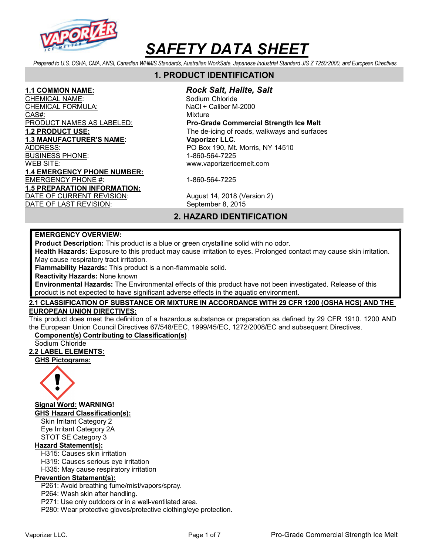

Prepared to U.S. OSHA, CMA, ANSI, Canadian WHMIS Standards, Australian WorkSafe, Japanese Industrial Standard JIS Z 7250:2000, and European Directives

# 1. PRODUCT IDENTIFICATION

### 1.1 COMMON NAME: Rock Salt, Halite, Salt

CHEMICAL NAME: Sodium Chloride CHEMICAL FORMULA: NaCl + Caliber M-2000 CAS#: CAS CONSIDERED A CONSIDERATION OF THE CONSIDERED AT A CONSIDERATION OF THE CONSIDERED AT A CONSIDERATION PRODUCT NAMES AS LABELED: Pro-Grade Commercial Strength Ice Melt 1.2 PRODUCT USE: The de-icing of roads, walkways and surfaces 1.3 MANUFACTURER'S NAME: Vaporizer LLC. ADDRESS: PO Box 190, Mt. Morris, NY 14510 BUSINESS PHONE: 1-860-564-7225 WEB SITE: www.vaporizericemelt.com

EMERGENCY PHONE #: 1-860-564-7225

DATE OF CURRENT REVISION: August 14, 2018 (Version 2) DATE OF LAST REVISION: September 8, 2015

# 2. HAZARD IDENTIFICATION

#### EMERGENCY OVERVIEW:

1.4 EMERGENCY PHONE NUMBER:

1.5 PREPARATION INFORMATION:

Product Description: This product is a blue or green crystalline solid with no odor.

Health Hazards: Exposure to this product may cause irritation to eyes. Prolonged contact may cause skin irritation. May cause respiratory tract irritation.

Flammability Hazards: This product is a non-flammable solid.

Reactivity Hazards: None known

Environmental Hazards: The Environmental effects of this product have not been investigated. Release of this product is not expected to have significant adverse effects in the aquatic environment.

## 2.1 CLASSIFICATION OF SUBSTANCE OR MIXTURE IN ACCORDANCE WITH 29 CFR 1200 (OSHA HCS) AND THE EUROPEAN UNION DIRECTIVES:

This product does meet the definition of a hazardous substance or preparation as defined by 29 CFR 1910. 1200 AND the European Union Council Directives 67/548/EEC, 1999/45/EC, 1272/2008/EC and subsequent Directives.

# Component(s) Contributing to Classification(s)

Sodium Chloride

## 2.2 LABEL ELEMENTS:

GHS Pictograms:



Signal Word: WARNING!

GHS Hazard Classification(s): Skin Irritant Category 2

Eye Irritant Category 2A STOT SE Category 3

## Hazard Statement(s):

H315: Causes skin irritation

H319: Causes serious eye irritation

H335: May cause respiratory irritation

## Prevention Statement(s):

P261: Avoid breathing fume/mist/vapors/spray.

P264: Wash skin after handling.

P271: Use only outdoors or in a well-ventilated area.

P280: Wear protective gloves/protective clothing/eye protection.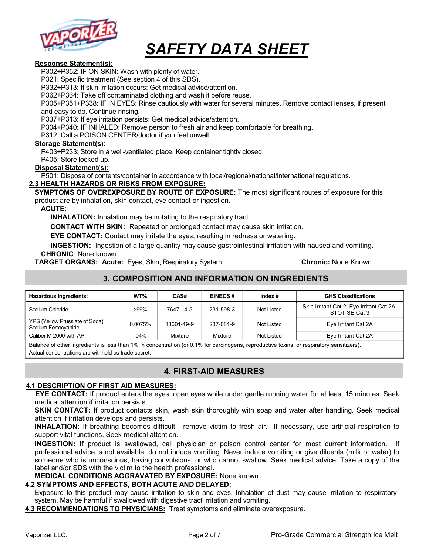

#### Response Statement(s):

P302+P352: IF ON SKIN: Wash with plenty of water.

P321: Specific treatment (See section 4 of this SDS).

P332+P313: If skin irritation occurs: Get medical advice/attention.

P362+P364: Take off contaminated clothing and wash it before reuse.

P305+P351+P338: IF IN EYES: Rinse cautiously with water for several minutes. Remove contact lenses, if present and easy to do. Continue rinsing.

P337+P313: If eye irritation persists: Get medical advice/attention.

P304+P340: IF INHALED: Remove person to fresh air and keep comfortable for breathing.

P312: Call a POISON CENTER/doctor if you feel unwell.

#### Storage Statement(s):

P403+P233: Store in a well-ventilated place. Keep container tightly closed.

P405: Store locked up.

#### Disposal Statement(s):

P501: Dispose of contents/container in accordance with local/regional/national/international regulations.

#### 2.3 HEALTH HAZARDS OR RISKS FROM EXPOSURE:

SYMPTOMS OF OVEREXPOSURE BY ROUTE OF EXPOSURE: The most significant routes of exposure for this product are by inhalation, skin contact, eye contact or ingestion.

#### ACUTE:

INHALATION: Inhalation may be irritating to the respiratory tract.

CONTACT WITH SKIN: Repeated or prolonged contact may cause skin irritation.

EYE CONTACT: Contact may irritate the eyes, resulting in redness or watering.

INGESTION: Ingestion of a large quantity may cause gastrointestinal irritation with nausea and vomiting. CHRONIC: None known

**TARGET ORGANS: Acute:** Eyes, Skin, Respiratory System **Chronic: None Known** Chronic: None Known

# 3. COMPOSITION AND INFORMATION ON INGREDIENTS

| <b>Hazardous Ingredients:</b>                         | WT%     | CAS#       | <b>EINECS#</b> | Index $#$  | <b>GHS Classifications</b>                                 |
|-------------------------------------------------------|---------|------------|----------------|------------|------------------------------------------------------------|
| Sodium Chloride                                       | $>99\%$ | 7647-14-5  | 231-598-3      | Not Listed | Skin Irritant Cat 2, Eye Irritant Cat 2A,<br>STOT SE Cat 3 |
| YPS (Yellow Prussiate of Soda)<br>Sodium Ferrocyanide | 0.0075% | 13601-19-9 | 237-081-9      | Not Listed | Eye Irritant Cat 2A                                        |
| Caliber M-2000 with AP                                | .04%    | Mixture    | Mixture        | Not Listed | Eye Irritant Cat 2A                                        |

Balance of other ingredients is less than 1% in concentration (or 0.1% for carcinogens, reproductive toxins, or respiratory sensitizers). Actual concentrations are withheld as trade secret.

## 4. FIRST-AID MEASURES

#### 4.1 DESCRIPTION OF FIRST AID MEASURES:

EYE CONTACT: If product enters the eyes, open eyes while under gentle running water for at least 15 minutes. Seek medical attention if irritation persists.

**SKIN CONTACT:** If product contacts skin, wash skin thoroughly with soap and water after handling. Seek medical attention if irritation develops and persists.

INHALATION: If breathing becomes difficult, remove victim to fresh air. If necessary, use artificial respiration to support vital functions. Seek medical attention.

INGESTION: If product is swallowed, call physician or poison control center for most current information. If professional advice is not available, do not induce vomiting. Never induce vomiting or give diluents (milk or water) to someone who is unconscious, having convulsions, or who cannot swallow. Seek medical advice. Take a copy of the label and/or SDS with the victim to the health professional.

#### MEDICAL CONDITIONS AGGRAVATED BY EXPOSURE: None known

#### 4.2 SYMPTOMS AND EFFECTS, BOTH ACUTE AND DELAYED:

Exposure to this product may cause irritation to skin and eyes. Inhalation of dust may cause irritation to respiratory system. May be harmful if swallowed with digestive tract irritation and vomiting.

4.3 RECOMMENDATIONS TO PHYSICIANS: Treat symptoms and eliminate overexposure.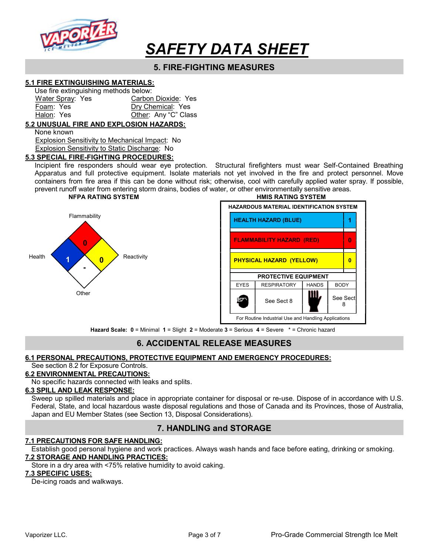

# 5. FIRE-FIGHTING MEASURES

#### 5.1 FIRE EXTINGUISHING MATERIALS:

| Use fire extinguishing methods below: |                      |
|---------------------------------------|----------------------|
| Water Spray: Yes                      | Carbon Dioxide: Yes  |
| Foam: Yes                             | Dry Chemical: Yes    |
| Halon: Yes                            | Other: Any "C" Class |

#### 5.2 UNUSUAL FIRE AND EXPLOSION HAZARDS:

None known

 Explosion Sensitivity to Mechanical Impact: No Explosion Sensitivity to Static Discharge: No

#### 5.3 SPECIAL FIRE-FIGHTING PROCEDURES:

Incipient fire responders should wear eye protection. Structural firefighters must wear Self-Contained Breathing Apparatus and full protective equipment. Isolate materials not yet involved in the fire and protect personnel. Move containers from fire area if this can be done without risk; otherwise, cool with carefully applied water spray. If possible, prevent runoff water from entering storm drains, bodies of water, or other environmentally sensitive areas.



NFPA RATING SYSTEM THE RESERVE THAT IS A RESERVE TO A RESERVE THAT IS A RESERVE TO A RESERVE THAT IS A RESERVE TO A RESERVE THAT IS A RESERVE TO A RESERVE THAT IS A RESERVE TO A RESERVE THAT IS A RESERVE TO A RESERVE THAT HAZARDOUS MATERIAL IDENTIFICATION SYSTEM Flammability **HEALTH HAZARD (BLUE)** 1 FLAMMABILITY HAZARD (RED) 0 PHYSICAL HAZARD (YELLOW) 0 PROTECTIVE EQUIPMENT EYES | RESPIRATORY | HANDS | BODY See Sect  $8$   $\blacksquare$  See Sect ine. 8 For Routine Industrial Use and Handling Applications

Hazard Scale: 0 = Minimal 1 = Slight 2 = Moderate 3 = Serious 4 = Severe \* = Chronic hazard

# 6. ACCIDENTAL RELEASE MEASURES

#### 6.1 PERSONAL PRECAUTIONS, PROTECTIVE EQUIPMENT AND EMERGENCY PROCEDURES:

## See section 8.2 for Exposure Controls.

## 6.2 ENVIRONMENTAL PRECAUTIONS:

No specific hazards connected with leaks and splits.

### 6.3 SPILL AND LEAK RESPONSE:

Sweep up spilled materials and place in appropriate container for disposal or re-use. Dispose of in accordance with U.S. Federal, State, and local hazardous waste disposal regulations and those of Canada and its Provinces, those of Australia, Japan and EU Member States (see Section 13, Disposal Considerations).

## 7. HANDLING and STORAGE

#### 7.1 PRECAUTIONS FOR SAFE HANDLING:

Establish good personal hygiene and work practices. Always wash hands and face before eating, drinking or smoking. 7.2 STORAGE AND HANDLING PRACTICES:

Store in a dry area with <75% relative humidity to avoid caking.

#### 7.3 SPECIFIC USES:

De-icing roads and walkways.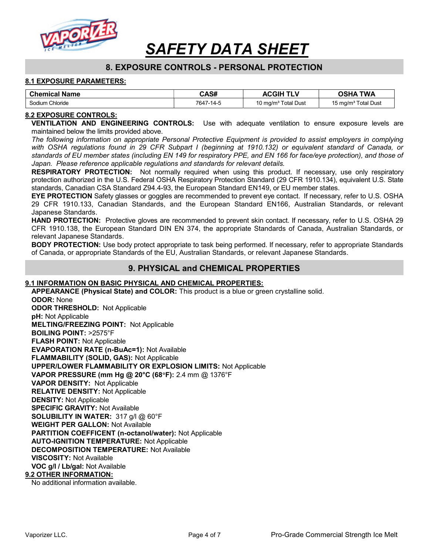

# 8. EXPOSURE CONTROLS - PERSONAL PROTECTION

#### 8.1 EXPOSURE PARAMETERS:

| <b>Chemical Name</b> | CAS#      | <b>ACGIH</b>                    | <b>TWA</b><br><b>OSHA</b>       |
|----------------------|-----------|---------------------------------|---------------------------------|
| Sodium Chloride      | 7647-14-5 | 10 mg/m <sup>3</sup> Total Dust | 15 mg/m <sup>3</sup> Total Dust |

#### 8.2 EXPOSURE CONTROLS:

VENTILATION AND ENGINEERING CONTROLS: Use with adequate ventilation to ensure exposure levels are maintained below the limits provided above.

The following information on appropriate Personal Protective Equipment is provided to assist employers in complying with OSHA regulations found in 29 CFR Subpart I (beginning at 1910.132) or equivalent standard of Canada, or standards of EU member states (including EN 149 for respiratory PPE, and EN 166 for face/eye protection), and those of Japan. Please reference applicable regulations and standards for relevant details.

**RESPIRATORY PROTECTION:** Not normally required when using this product. If necessary, use only respiratory protection authorized in the U.S. Federal OSHA Respiratory Protection Standard (29 CFR 1910.134), equivalent U.S. State standards, Canadian CSA Standard Z94.4-93, the European Standard EN149, or EU member states.

EYE PROTECTION Safety glasses or goggles are recommended to prevent eye contact. If necessary, refer to U.S. OSHA 29 CFR 1910.133, Canadian Standards, and the European Standard EN166, Australian Standards, or relevant Japanese Standards.

HAND PROTECTION: Protective gloves are recommended to prevent skin contact. If necessary, refer to U.S. OSHA 29 CFR 1910.138, the European Standard DIN EN 374, the appropriate Standards of Canada, Australian Standards, or relevant Japanese Standards.

**BODY PROTECTION:** Use body protect appropriate to task being performed. If necessary, refer to appropriate Standards of Canada, or appropriate Standards of the EU, Australian Standards, or relevant Japanese Standards.

## 9. PHYSICAL and CHEMICAL PROPERTIES

#### 9.1 INFORMATION ON BASIC PHYSICAL AND CHEMICAL PROPERTIES:

APPEARANCE (Physical State) and COLOR: This product is a blue or green crystalline solid.

ODOR: None ODOR THRESHOLD: Not Applicable pH: Not Applicable MELTING/FREEZING POINT: Not Applicable BOILING POINT: >2575°F FLASH POINT: Not Applicable EVAPORATION RATE (n-BuAc=1): Not Available FLAMMABILITY (SOLID, GAS): Not Applicable UPPER/LOWER FLAMMABILITY OR EXPLOSION LIMITS: Not Applicable VAPOR PRESSURE (mm Hg @ 20°C (68F): 2.4 mm @ 1376°F VAPOR DENSITY: Not Applicable RELATIVE DENSITY: Not Applicable DENSITY: Not Applicable SPECIFIC GRAVITY: Not Available SOLUBILITY IN WATER: 317 g/l @ 60°F WEIGHT PER GALLON: Not Available PARTITION COEFFICENT (n-octanol/water): Not Applicable AUTO-IGNITION TEMPERATURE: Not Applicable DECOMPOSITION TEMPERATURE: Not Available VISCOSITY: Not Available VOC g/l / Lb/gal: Not Available 9.2 OTHER INFORMATION:

No additional information available.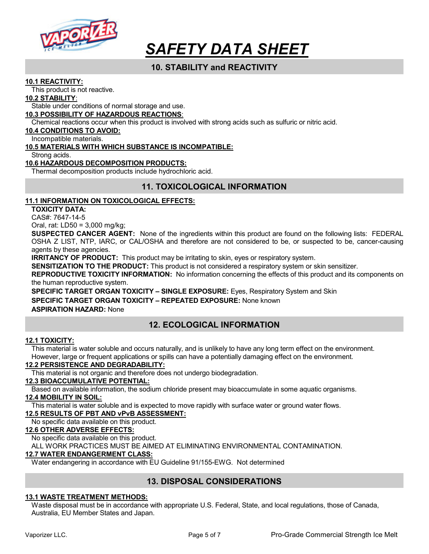

# 10. STABILITY and REACTIVITY

#### 10.1 REACTIVITY:

This product is not reactive.

#### 10.2 STABILITY:

Stable under conditions of normal storage and use.

#### 10.3 POSSIBILITY OF HAZARDOUS REACTIONS:

Chemical reactions occur when this product is involved with strong acids such as sulfuric or nitric acid.

#### 10.4 CONDITIONS TO AVOID:

Incompatible materials.

#### 10.5 MATERIALS WITH WHICH SUBSTANCE IS INCOMPATIBLE:

Strong acids.

#### 10.6 HAZARDOUS DECOMPOSITION PRODUCTS:

Thermal decomposition products include hydrochloric acid.

# 11. TOXICOLOGICAL INFORMATION

#### 11.1 INFORMATION ON TOXICOLOGICAL EFFECTS:

TOXICITY DATA:

CAS#: 7647-14-5

Oral, rat: LD50 = 3,000 mg/kg;

SUSPECTED CANCER AGENT: None of the ingredients within this product are found on the following lists: FEDERAL OSHA Z LIST, NTP, IARC, or CAL/OSHA and therefore are not considered to be, or suspected to be, cancer-causing agents by these agencies.

**IRRITANCY OF PRODUCT:** This product may be irritating to skin, eyes or respiratory system.

SENSITIZATION TO THE PRODUCT: This product is not considered a respiratory system or skin sensitizer.

REPRODUCTIVE TOXICITY INFORMATION: No information concerning the effects of this product and its components on the human reproductive system.

SPECIFIC TARGET ORGAN TOXICITY – SINGLE EXPOSURE: Eyes, Respiratory System and Skin SPECIFIC TARGET ORGAN TOXICITY - REPEATED EXPOSURE: None known ASPIRATION HAZARD: None

# 12. ECOLOGICAL INFORMATION

#### 12.1 TOXICITY:

This material is water soluble and occurs naturally, and is unlikely to have any long term effect on the environment. However, large or frequent applications or spills can have a potentially damaging effect on the environment.

## 12.2 PERSISTENCE AND DEGRADABILITY:

This material is not organic and therefore does not undergo biodegradation.

## 12.3 BIOACCUMULATIVE POTENTIAL:

Based on available information, the sodium chloride present may bioaccumulate in some aquatic organisms.

### 12.4 MOBILITY IN SOIL:

This material is water soluble and is expected to move rapidly with surface water or ground water flows.

#### 12.5 RESULTS OF PBT AND vPvB ASSESSMENT:

No specific data available on this product.

## 12.6 OTHER ADVERSE EFFECTS:

No specific data available on this product.

ALL WORK PRACTICES MUST BE AIMED AT ELIMINATING ENVIRONMENTAL CONTAMINATION.

#### 12.7 WATER ENDANGERMENT CLASS:

Water endangering in accordance with EU Guideline 91/155-EWG. Not determined

# 13. DISPOSAL CONSIDERATIONS

## 13.1 WASTE TREATMENT METHODS:

Waste disposal must be in accordance with appropriate U.S. Federal, State, and local regulations, those of Canada, Australia, EU Member States and Japan.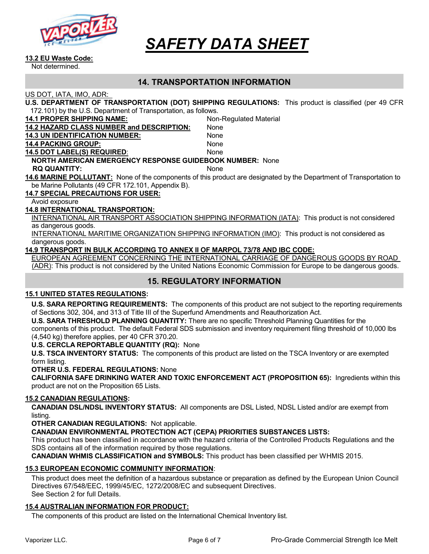

#### 13.2 EU Waste Code:

Not determined.

## 14. TRANSPORTATION INFORMATION

US DOT, IATA, IMO, ADR:

| U.S. DEPARTMENT OF TRANSPORTATION (DOT) SHIPPING REGULATIONS: This product is classified (per 49 CFR |  |
|------------------------------------------------------------------------------------------------------|--|
| 172.101) by the U.S. Department of Transportation, as follows.                                       |  |

| <u>IZ. IVI) by the O.S. Department of Transportation, as follows.</u> |                                                                                                                     |  |
|-----------------------------------------------------------------------|---------------------------------------------------------------------------------------------------------------------|--|
| <b>14.1 PROPER SHIPPING NAME:</b>                                     | Non-Regulated Material                                                                                              |  |
| <b>14.2 HAZARD CLASS NUMBER and DESCRIPTION:</b>                      | None                                                                                                                |  |
| <b>14.3 UN IDENTIFICATION NUMBER:</b>                                 | None                                                                                                                |  |
| <b>14.4 PACKING GROUP:</b>                                            | None                                                                                                                |  |
| <b>14.5 DOT LABEL(S) REQUIRED:</b>                                    | None                                                                                                                |  |
| <b>NORTH AMERICAN EMERGENCY RESPONSE GUIDEBOOK NUMBER: None</b>       |                                                                                                                     |  |
| <b>RQ QUANTITY:</b>                                                   | <b>None</b>                                                                                                         |  |
|                                                                       | 14.6 MARINE POLLUTANT: None of the components of this product are designated by the Department of Transportation to |  |
| be Marine Pollutants (49 CFR 172.101, Appendix B).                    |                                                                                                                     |  |
| <b>14.7 SPECIAL PRECAUTIONS FOR USER:</b>                             |                                                                                                                     |  |
|                                                                       |                                                                                                                     |  |

Avoid exposure

#### 14.8 INTERNATIONAL TRANSPORTION:

INTERNATIONAL AIR TRANSPORT ASSOCIATION SHIPPING INFORMATION (IATA): This product is not considered as dangerous goods.

INTERNATIONAL MARITIME ORGANIZATION SHIPPING INFORMATION (IMO): This product is not considered as dangerous goods.

#### 14.9 TRANSPORT IN BULK ACCORDING TO ANNEX II OF MARPOL 73/78 AND IBC CODE:

EUROPEAN AGREEMENT CONCERNING THE INTERNATIONAL CARRIAGE OF DANGEROUS GOODS BY ROAD (ADR): This product is not considered by the United Nations Economic Commission for Europe to be dangerous goods.

## 15. REGULATORY INFORMATION

#### 15.1 UNITED STATES REGULATIONS:

U.S. SARA REPORTING REQUIREMENTS: The components of this product are not subject to the reporting requirements of Sections 302, 304, and 313 of Title III of the Superfund Amendments and Reauthorization Act.

U.S. SARA THRESHOLD PLANNING QUANTITY: There are no specific Threshold Planning Quantities for the components of this product. The default Federal SDS submission and inventory requirement filing threshold of 10,000 lbs (4,540 kg) therefore applies, per 40 CFR 370.20.

#### U.S. CERCLA REPORTABLE QUANTITY (RQ): None

U.S. TSCA INVENTORY STATUS: The components of this product are listed on the TSCA Inventory or are exempted form listing.

#### OTHER U.S. FEDERAL REGULATIONS: None

CALIFORNIA SAFE DRINKING WATER AND TOXIC ENFORCEMENT ACT (PROPOSITION 65): Ingredients within this product are not on the Proposition 65 Lists.

#### 15.2 CANADIAN REGULATIONS:

CANADIAN DSL/NDSL INVENTORY STATUS: All components are DSL Listed, NDSL Listed and/or are exempt from listing.

OTHER CANADIAN REGULATIONS: Not applicable.

CANADIAN ENVIRONMENTAL PROTECTION ACT (CEPA) PRIORITIES SUBSTANCES LISTS:

This product has been classified in accordance with the hazard criteria of the Controlled Products Regulations and the SDS contains all of the information required by those regulations.

CANADIAN WHMIS CLASSIFICATION and SYMBOLS: This product has been classified per WHMIS 2015.

#### 15.3 EUROPEAN ECONOMIC COMMUNITY INFORMATION:

This product does meet the definition of a hazardous substance or preparation as defined by the European Union Council Directives 67/548/EEC, 1999/45/EC, 1272/2008/EC and subsequent Directives. See Section 2 for full Details.

#### 15.4 AUSTRALIAN INFORMATION FOR PRODUCT:

The components of this product are listed on the International Chemical Inventory list.